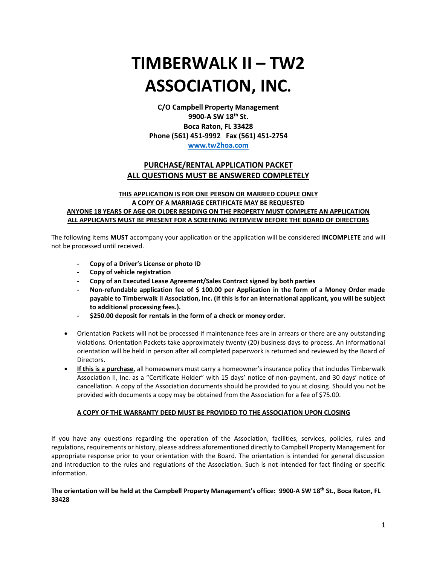# **TIMBERWALK II – TW2 ASSOCIATION, INC.**

**C/O Campbell Property Management 9900-A SW 18th St. Boca Raton, FL 33428 Phone (561) 451-9992 Fax (561) 451-2754**

**www.tw2hoa.com**

# **PURCHASE/RENTAL APPLICATION PACKET ALL QUESTIONS MUST BE ANSWERED COMPLETELY**

## **THIS APPLICATION IS FOR ONE PERSON OR MARRIED COUPLE ONLY A COPY OF A MARRIAGE CERTIFICATE MAY BE REQUESTED ANYONE 18 YEARS OF AGE OR OLDER RESIDING ON THE PROPERTY MUST COMPLETE AN APPLICATION ALL APPLICANTS MUST BE PRESENT FOR A SCREENING INTERVIEW BEFORE THE BOARD OF DIRECTORS**

The following items **MUST** accompany your application or the application will be considered **INCOMPLETE** and will not be processed until received.

- **- Copy of a Driver's License or photo ID**
- **- Copy of vehicle registration**
- **- Copy of an Executed Lease Agreement/Sales Contract signed by both parties**
- **- Non-refundable application fee of \$ 100.00 per Application in the form of a Money Order made payable to Timberwalk II Association, Inc. (If this is for an international applicant, you will be subject to additional processing fees.).**
- **- \$250.00 deposit for rentals in the form of a check or money order.**
- Orientation Packets will not be processed if maintenance fees are in arrears or there are any outstanding violations. Orientation Packets take approximately twenty (20) business days to process. An informational orientation will be held in person after all completed paperwork is returned and reviewed by the Board of Directors.
- **If this is a purchase**, all homeowners must carry a homeowner's insurance policy that includes Timberwalk Association II, Inc. as a "Certificate Holder" with 15 days' notice of non-payment, and 30 days' notice of cancellation. A copy of the Association documents should be provided to you at closing. Should you not be provided with documents a copy may be obtained from the Association for a fee of \$75.00.

#### **A COPY OF THE WARRANTY DEED MUST BE PROVIDED TO THE ASSOCIATION UPON CLOSING**

If you have any questions regarding the operation of the Association, facilities, services, policies, rules and regulations, requirements or history, please address aforementioned directly to Campbell Property Management for appropriate response prior to your orientation with the Board. The orientation is intended for general discussion and introduction to the rules and regulations of the Association. Such is not intended for fact finding or specific information.

#### **The orientation will be held at the Campbell Property Management's office: 9900-A SW 18th St., Boca Raton, FL 33428**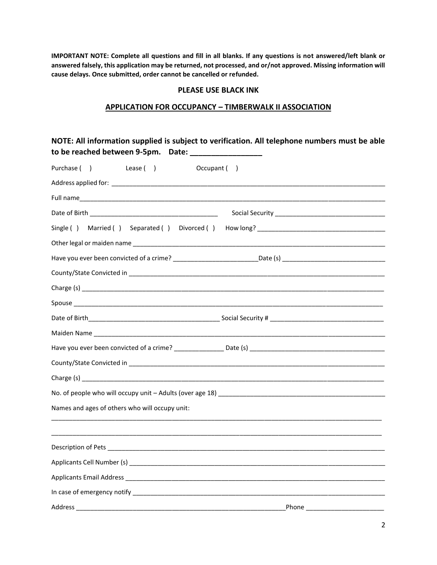**IMPORTANT NOTE: Complete all questions and fill in all blanks. If any questions is not answered/left blank or answered falsely, this application may be returned, not processed, and or/not approved. Missing information will cause delays. Once submitted, order cannot be cancelled or refunded.**

#### **PLEASE USE BLACK INK**

## **APPLICATION FOR OCCUPANCY – TIMBERWALK II ASSOCIATION**

| NOTE: All information supplied is subject to verification. All telephone numbers must be able<br>to be reached between 9-5pm. Date: ___________________ |                                                                                                                                                                                                                                |  |  |  |  |
|---------------------------------------------------------------------------------------------------------------------------------------------------------|--------------------------------------------------------------------------------------------------------------------------------------------------------------------------------------------------------------------------------|--|--|--|--|
| Lease ()<br>Purchase ()<br>Occupant ()                                                                                                                  |                                                                                                                                                                                                                                |  |  |  |  |
|                                                                                                                                                         |                                                                                                                                                                                                                                |  |  |  |  |
|                                                                                                                                                         |                                                                                                                                                                                                                                |  |  |  |  |
|                                                                                                                                                         |                                                                                                                                                                                                                                |  |  |  |  |
|                                                                                                                                                         |                                                                                                                                                                                                                                |  |  |  |  |
|                                                                                                                                                         |                                                                                                                                                                                                                                |  |  |  |  |
|                                                                                                                                                         | Have you ever been convicted of a crime? ______________________________Date (s) ______________________________                                                                                                                 |  |  |  |  |
|                                                                                                                                                         |                                                                                                                                                                                                                                |  |  |  |  |
|                                                                                                                                                         |                                                                                                                                                                                                                                |  |  |  |  |
|                                                                                                                                                         |                                                                                                                                                                                                                                |  |  |  |  |
|                                                                                                                                                         |                                                                                                                                                                                                                                |  |  |  |  |
|                                                                                                                                                         |                                                                                                                                                                                                                                |  |  |  |  |
|                                                                                                                                                         |                                                                                                                                                                                                                                |  |  |  |  |
|                                                                                                                                                         |                                                                                                                                                                                                                                |  |  |  |  |
|                                                                                                                                                         |                                                                                                                                                                                                                                |  |  |  |  |
|                                                                                                                                                         | No. of people who will occupy unit - Adults (over age 18) [19] The control of the control of the control of the control of the control of the control of the control of the control of the control of the control of the contr |  |  |  |  |
| Names and ages of others who will occupy unit:                                                                                                          |                                                                                                                                                                                                                                |  |  |  |  |
|                                                                                                                                                         |                                                                                                                                                                                                                                |  |  |  |  |
|                                                                                                                                                         |                                                                                                                                                                                                                                |  |  |  |  |
|                                                                                                                                                         |                                                                                                                                                                                                                                |  |  |  |  |
|                                                                                                                                                         |                                                                                                                                                                                                                                |  |  |  |  |
|                                                                                                                                                         |                                                                                                                                                                                                                                |  |  |  |  |
| Address                                                                                                                                                 | Phone                                                                                                                                                                                                                          |  |  |  |  |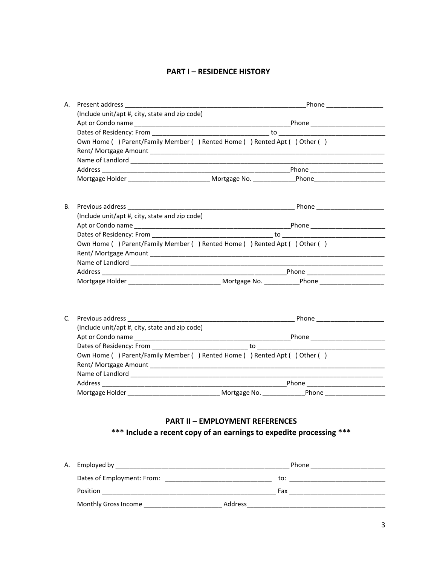## **PART I – RESIDENCE HISTORY**

| А. |                                                |                                                                                                      |
|----|------------------------------------------------|------------------------------------------------------------------------------------------------------|
|    | (Include unit/apt #, city, state and zip code) |                                                                                                      |
|    |                                                |                                                                                                      |
|    |                                                |                                                                                                      |
|    |                                                | Own Home ( ) Parent/Family Member ( ) Rented Home ( ) Rented Apt ( ) Other ( )                       |
|    |                                                |                                                                                                      |
|    |                                                |                                                                                                      |
|    |                                                |                                                                                                      |
|    |                                                |                                                                                                      |
|    |                                                |                                                                                                      |
|    |                                                |                                                                                                      |
| В. |                                                |                                                                                                      |
|    | (Include unit/apt #, city, state and zip code) |                                                                                                      |
|    |                                                |                                                                                                      |
|    |                                                |                                                                                                      |
|    |                                                | Own Home ( ) Parent/Family Member ( ) Rented Home ( ) Rented Apt ( ) Other ( )                       |
|    |                                                |                                                                                                      |
|    |                                                |                                                                                                      |
|    |                                                |                                                                                                      |
|    |                                                | Mortgage Holder __________________________________Mortgage No. ____________Phone ___________________ |
|    |                                                |                                                                                                      |
|    |                                                |                                                                                                      |
| C. |                                                |                                                                                                      |
|    | (Include unit/apt #, city, state and zip code) |                                                                                                      |
|    |                                                |                                                                                                      |
|    |                                                |                                                                                                      |
|    |                                                | Own Home ( ) Parent/Family Member ( ) Rented Home ( ) Rented Apt ( ) Other ( )                       |
|    |                                                |                                                                                                      |
|    |                                                |                                                                                                      |
|    |                                                |                                                                                                      |
|    |                                                |                                                                                                      |
|    |                                                |                                                                                                      |
|    |                                                |                                                                                                      |
|    |                                                | <b>PART II - EMPLOYMENT REFERENCES</b>                                                               |
|    |                                                | *** Include a recent copy of an earnings to expedite processing ***                                  |
|    |                                                |                                                                                                      |
|    |                                                |                                                                                                      |
|    |                                                |                                                                                                      |
| А. |                                                |                                                                                                      |
|    |                                                | to: $\qquad \qquad$                                                                                  |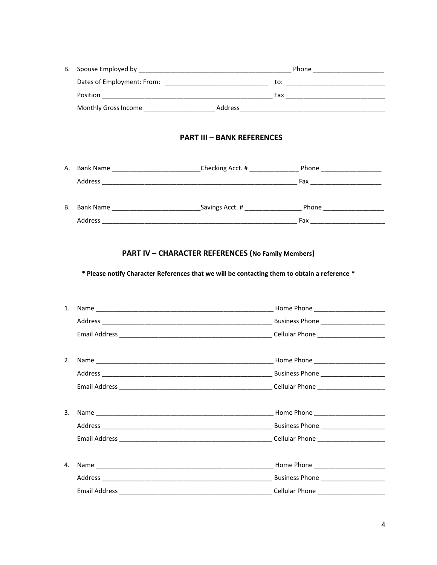| В.       |                                   |                                                                                                                |
|----------|-----------------------------------|----------------------------------------------------------------------------------------------------------------|
|          |                                   |                                                                                                                |
|          |                                   |                                                                                                                |
|          |                                   |                                                                                                                |
|          | <b>PART III - BANK REFERENCES</b> |                                                                                                                |
|          |                                   | A. Bank Name ____________________________Checking Acct. # ____________________Phone ______________________     |
|          |                                   |                                                                                                                |
| В.       |                                   | Bank Name ______________________________Savings Acct. # _________________________ Phone ______________________ |
|          |                                   |                                                                                                                |
| 1.       |                                   |                                                                                                                |
|          |                                   |                                                                                                                |
|          |                                   |                                                                                                                |
| 2.       |                                   |                                                                                                                |
|          |                                   |                                                                                                                |
|          |                                   |                                                                                                                |
|          |                                   |                                                                                                                |
|          |                                   |                                                                                                                |
|          |                                   |                                                                                                                |
|          |                                   |                                                                                                                |
|          |                                   |                                                                                                                |
| 3.<br>4. |                                   |                                                                                                                |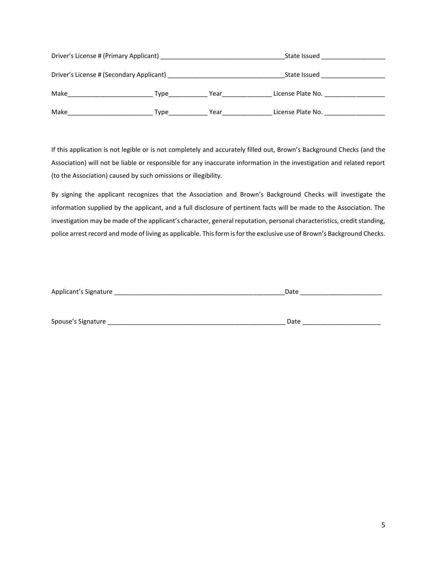| Driver's License # (Primary Applicant)   |      |      | State Issued      |  |  |
|------------------------------------------|------|------|-------------------|--|--|
| Driver's License # (Secondary Applicant) |      |      | State Issued      |  |  |
| Make                                     | Type | Year | License Plate No. |  |  |
| Make                                     | Type | Year | License Plate No. |  |  |

If this application is not legible or is not completely and accurately filled out, Brown's Background Checks (and the Association) will not be liable or responsible for any inaccurate information in the investigation and related report (to the Association) caused by such omissions or illegibility.

By signing the applicant recognizes that the Association and Brown's Background Checks will investigate the information supplied by the applicant, and a full disclosure of pertinent facts will be made to the Association. The investigation may be made of the applicant's character, general reputation, personal characteristics, credit standing, police arrest record and mode of living as applicable. This form is for the exclusive use of Brown's Background Checks.

| Applicant's Signature | Date |
|-----------------------|------|
|                       |      |
|                       |      |
|                       |      |

Spouse's Signature \_\_\_\_\_\_\_\_\_\_\_\_\_\_\_\_\_\_\_\_\_\_\_\_\_\_\_\_\_\_\_\_\_\_\_\_\_\_\_\_\_\_\_\_\_\_\_\_\_\_ Date \_\_\_\_\_\_\_\_\_\_\_\_\_\_\_\_\_\_\_\_\_\_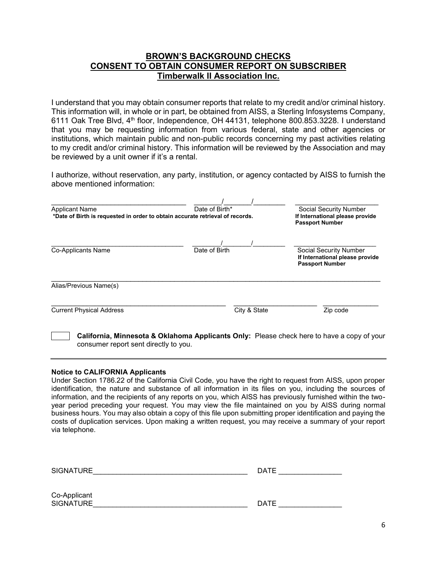# **BROWN'S BACKGROUND CHECKS CONSENT TO OBTAIN CONSUMER REPORT ON SUBSCRIBER Timberwalk II Association Inc.**

I understand that you may obtain consumer reports that relate to my credit and/or criminal history. This information will, in whole or in part, be obtained from AISS, a Sterling Infosystems Company, 6111 Oak Tree Blvd, 4<sup>th</sup> floor, Independence, OH 44131, telephone 800.853.3228. I understand that you may be requesting information from various federal, state and other agencies or institutions, which maintain public and non-public records concerning my past activities relating to my credit and/or criminal history. This information will be reviewed by the Association and may be reviewed by a unit owner if it's a rental.

I authorize, without reservation, any party, institution, or agency contacted by AISS to furnish the above mentioned information:

| <b>Applicant Name</b><br>*Date of Birth is requested in order to obtain accurate retrieval of records. | Date of Birth* | Social Security Number<br>If International please provide<br><b>Passport Number</b> |  |  |
|--------------------------------------------------------------------------------------------------------|----------------|-------------------------------------------------------------------------------------|--|--|
| <b>Co-Applicants Name</b>                                                                              | Date of Birth  | Social Security Number                                                              |  |  |
|                                                                                                        |                | If International please provide<br><b>Passport Number</b>                           |  |  |
| Alias/Previous Name(s)                                                                                 |                |                                                                                     |  |  |
| <b>Current Physical Address</b>                                                                        | City & State   | Zip code                                                                            |  |  |

# **Notice to CALIFORNIA Applicants**

consumer report sent directly to you.

Under Section 1786.22 of the California Civil Code, you have the right to request from AISS, upon proper identification, the nature and substance of all information in its files on you, including the sources of information, and the recipients of any reports on you, which AISS has previously furnished within the twoyear period preceding your request. You may view the file maintained on you by AISS during normal business hours. You may also obtain a copy of this file upon submitting proper identification and paying the costs of duplication services. Upon making a written request, you may receive a summary of your report via telephone.

| <b>SIGNATURE</b> | <b>DATE</b> |
|------------------|-------------|
|                  |             |
| Co-Applicant     |             |
| <b>SIGNATURE</b> | DATE        |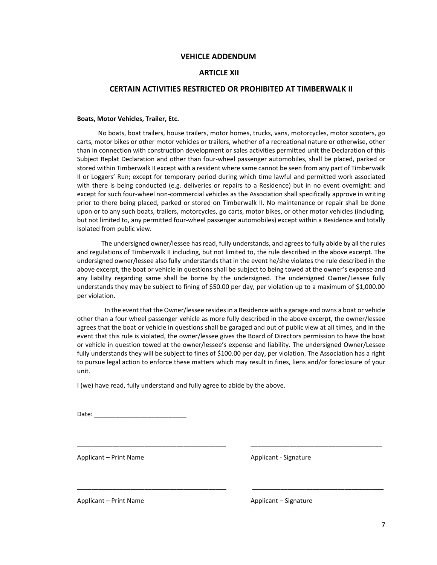#### **VEHICLE ADDENDUM**

## **ARTICLE XII**

#### **CERTAIN ACTIVITIES RESTRICTED OR PROHIBITED AT TIMBERWALK II**

#### **Boats, Motor Vehicles, Trailer, Etc.**

No boats, boat trailers, house trailers, motor homes, trucks, vans, motorcycles, motor scooters, go carts, motor bikes or other motor vehicles or trailers, whether of a recreational nature or otherwise, other than in connection with construction development or sales activities permitted unit the Declaration of this Subject Replat Declaration and other than four-wheel passenger automobiles, shall be placed, parked or stored within Timberwalk II except with a resident where same cannot be seen from any part of Timberwalk II or Loggers' Run; except for temporary period during which time lawful and permitted work associated with there is being conducted (e.g. deliveries or repairs to a Residence) but in no event overnight: and except for such four-wheel non-commercial vehicles as the Association shall specifically approve in writing prior to there being placed, parked or stored on Timberwalk II. No maintenance or repair shall be done upon or to any such boats, trailers, motorcycles, go carts, motor bikes, or other motor vehicles (including, but not limited to, any permitted four-wheel passenger automobiles) except within a Residence and totally isolated from public view.

 The undersigned owner/lessee has read, fully understands, and agrees to fully abide by all the rules and regulations of Timberwalk II including, but not limited to, the rule described in the above excerpt. The undersigned owner/lessee also fully understands that in the event he/she violates the rule described in the above excerpt, the boat or vehicle in questions shall be subject to being towed at the owner's expense and any liability regarding same shall be borne by the undersigned. The undersigned Owner/Lessee fully understands they may be subject to fining of \$50.00 per day, per violation up to a maximum of \$1,000.00 per violation.

 In the event that the Owner/lessee resides in a Residence with a garage and owns a boat or vehicle other than a four wheel passenger vehicle as more fully described in the above excerpt, the owner/lessee agrees that the boat or vehicle in questions shall be garaged and out of public view at all times, and in the event that this rule is violated, the owner/lessee gives the Board of Directors permission to have the boat or vehicle in question towed at the owner/lessee's expense and liability. The undersigned Owner/Lessee fully understands they will be subject to fines of \$100.00 per day, per violation. The Association has a right to pursue legal action to enforce these matters which may result in fines, liens and/or foreclosure of your unit.

\_\_\_\_\_\_\_\_\_\_\_\_\_\_\_\_\_\_\_\_\_\_\_\_\_\_\_\_\_\_\_\_\_\_\_\_\_\_\_\_\_\_ \_\_\_\_\_\_\_\_\_\_\_\_\_\_\_\_\_\_\_\_\_\_\_\_\_\_\_\_\_\_\_\_\_\_\_\_\_

\_\_\_\_\_\_\_\_\_\_\_\_\_\_\_\_\_\_\_\_\_\_\_\_\_\_\_\_\_\_\_\_\_\_\_\_\_\_\_\_\_\_ \_\_\_\_\_\_\_\_\_\_\_\_\_\_\_\_\_\_\_\_\_\_\_\_\_\_\_\_\_\_\_\_\_\_\_\_\_

I (we) have read, fully understand and fully agree to abide by the above.

Date:  $\overline{\phantom{a}}$ 

Applicant – Print NameApplicant - Signature

Applicant – Print Name Applicant – Signature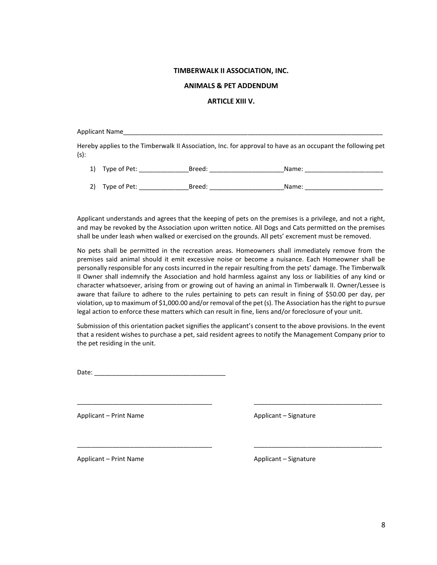#### **TIMBERWALK II ASSOCIATION, INC.**

#### **ANIMALS & PET ADDENDUM**

#### **ARTICLE XIII V.**

Applicant Name\_\_\_\_\_\_\_\_\_\_\_\_\_\_\_\_\_\_\_\_\_\_\_\_\_\_\_\_\_\_\_\_\_\_\_\_\_\_\_\_\_\_\_\_\_\_\_\_\_\_\_\_\_\_\_\_\_\_\_\_\_\_\_\_\_\_\_\_\_\_\_\_\_

Hereby applies to the Timberwalk II Association, Inc. for approval to have as an occupant the following pet (s):

1) Type of Pet: \_\_\_\_\_\_\_\_\_\_\_\_\_\_Breed: \_\_\_\_\_\_\_\_\_\_\_\_\_\_\_\_\_\_\_\_\_Name: \_\_\_\_\_\_\_\_\_\_\_\_\_\_\_\_\_\_\_\_\_\_

2) Type of Pet: \_\_\_\_\_\_\_\_\_\_\_\_\_\_Breed: \_\_\_\_\_\_\_\_\_\_\_\_\_\_\_\_\_\_\_\_\_Name: \_\_\_\_\_\_\_\_\_\_\_\_\_\_\_\_\_\_\_\_\_\_

Applicant understands and agrees that the keeping of pets on the premises is a privilege, and not a right, and may be revoked by the Association upon written notice. All Dogs and Cats permitted on the premises shall be under leash when walked or exercised on the grounds. All pets' excrement must be removed.

No pets shall be permitted in the recreation areas. Homeowners shall immediately remove from the premises said animal should it emit excessive noise or become a nuisance. Each Homeowner shall be personally responsible for any costs incurred in the repair resulting from the pets' damage. The Timberwalk II Owner shall indemnify the Association and hold harmless against any loss or liabilities of any kind or character whatsoever, arising from or growing out of having an animal in Timberwalk II. Owner/Lessee is aware that failure to adhere to the rules pertaining to pets can result in fining of \$50.00 per day, per violation, up to maximum of \$1,000.00 and/or removal of the pet (s). The Association has the right to pursue legal action to enforce these matters which can result in fine, liens and/or foreclosure of your unit.

Submission of this orientation packet signifies the applicant's consent to the above provisions. In the event that a resident wishes to purchase a pet, said resident agrees to notify the Management Company prior to the pet residing in the unit.

\_\_\_\_\_\_\_\_\_\_\_\_\_\_\_\_\_\_\_\_\_\_\_\_\_\_\_\_\_\_\_\_\_\_\_\_\_\_ \_\_\_\_\_\_\_\_\_\_\_\_\_\_\_\_\_\_\_\_\_\_\_\_\_\_\_\_\_\_\_\_\_\_\_\_

\_\_\_\_\_\_\_\_\_\_\_\_\_\_\_\_\_\_\_\_\_\_\_\_\_\_\_\_\_\_\_\_\_\_\_\_\_\_ \_\_\_\_\_\_\_\_\_\_\_\_\_\_\_\_\_\_\_\_\_\_\_\_\_\_\_\_\_\_\_\_\_\_\_\_

Date: \_\_\_\_\_\_\_\_\_\_\_\_\_\_\_\_\_\_\_\_\_\_\_\_\_\_\_\_\_\_\_\_\_\_\_\_\_

Applicant – Print Name Applicant – Signature

Applicant – Print Name Applicant – Signature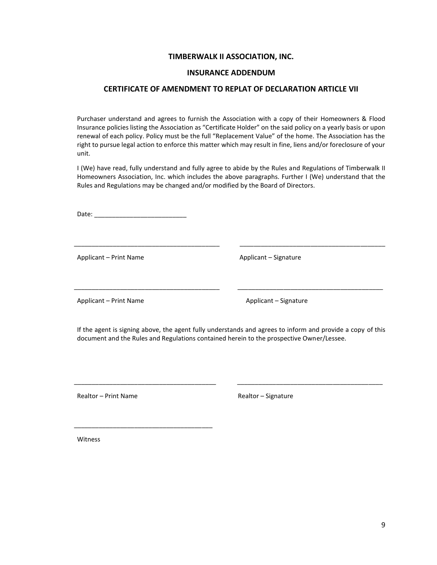## **TIMBERWALK II ASSOCIATION, INC.**

#### **INSURANCE ADDENDUM**

#### **CERTIFICATE OF AMENDMENT TO REPLAT OF DECLARATION ARTICLE VII**

Purchaser understand and agrees to furnish the Association with a copy of their Homeowners & Flood Insurance policies listing the Association as "Certificate Holder" on the said policy on a yearly basis or upon renewal of each policy. Policy must be the full "Replacement Value" of the home. The Association has the right to pursue legal action to enforce this matter which may result in fine, liens and/or foreclosure of your unit.

I (We) have read, fully understand and fully agree to abide by the Rules and Regulations of Timberwalk II Homeowners Association, Inc. which includes the above paragraphs. Further I (We) understand that the Rules and Regulations may be changed and/or modified by the Board of Directors.

\_\_\_\_\_\_\_\_\_\_\_\_\_\_\_\_\_\_\_\_\_\_\_\_\_\_\_\_\_\_\_\_\_\_\_\_\_\_\_\_\_ \_\_\_\_\_\_\_\_\_\_\_\_\_\_\_\_\_\_\_\_\_\_\_\_\_\_\_\_\_\_\_\_\_\_\_\_\_\_\_\_\_

\_\_\_\_\_\_\_\_\_\_\_\_\_\_\_\_\_\_\_\_\_\_\_\_\_\_\_\_\_\_\_\_\_\_\_\_\_\_\_\_\_ \_\_\_\_\_\_\_\_\_\_\_\_\_\_\_\_\_\_\_\_\_\_\_\_\_\_\_\_\_\_\_\_\_\_\_\_\_\_\_\_\_

\_\_\_\_\_\_\_\_\_\_\_\_\_\_\_\_\_\_\_\_\_\_\_\_\_\_\_\_\_\_\_\_\_\_\_\_\_\_\_\_ \_\_\_\_\_\_\_\_\_\_\_\_\_\_\_\_\_\_\_\_\_\_\_\_\_\_\_\_\_\_\_\_\_\_\_\_\_\_\_\_\_

Date: \_\_\_\_\_\_\_\_\_\_\_\_\_\_\_\_\_\_\_\_\_\_\_\_\_\_

Applicant – Print Name Applicant – Signature

Applicant – Print Name Applicant – Signature

If the agent is signing above, the agent fully understands and agrees to inform and provide a copy of this document and the Rules and Regulations contained herein to the prospective Owner/Lessee.

Realtor – Print Name **Realtor – Signature** Realtor – Signature

\_\_\_\_\_\_\_\_\_\_\_\_\_\_\_\_\_\_\_\_\_\_\_\_\_\_\_\_\_\_\_\_\_\_\_\_\_\_\_

Witness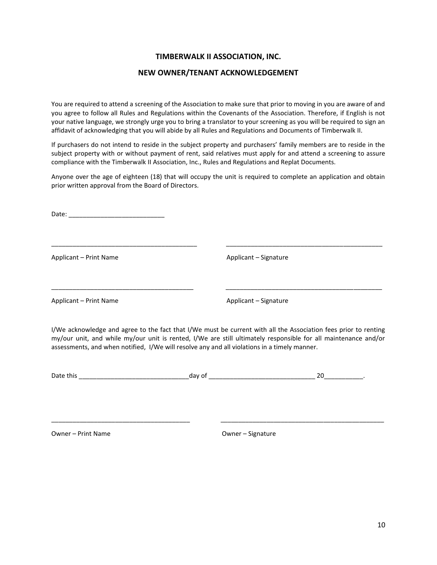## **TIMBERWALK II ASSOCIATION, INC.**

## **NEW OWNER/TENANT ACKNOWLEDGEMENT**

You are required to attend a screening of the Association to make sure that prior to moving in you are aware of and you agree to follow all Rules and Regulations within the Covenants of the Association. Therefore, if English is not your native language, we strongly urge you to bring a translator to your screening as you will be required to sign an affidavit of acknowledging that you will abide by all Rules and Regulations and Documents of Timberwalk II.

If purchasers do not intend to reside in the subject property and purchasers' family members are to reside in the subject property with or without payment of rent, said relatives must apply for and attend a screening to assure compliance with the Timberwalk II Association, Inc., Rules and Regulations and Replat Documents.

Anyone over the age of eighteen (18) that will occupy the unit is required to complete an application and obtain prior written approval from the Board of Directors.

\_\_\_\_\_\_\_\_\_\_\_\_\_\_\_\_\_\_\_\_\_\_\_\_\_\_\_\_\_\_\_\_\_\_\_\_\_\_\_\_\_ \_\_\_\_\_\_\_\_\_\_\_\_\_\_\_\_\_\_\_\_\_\_\_\_\_\_\_\_\_\_\_\_\_\_\_\_\_\_\_\_\_\_\_\_

\_\_\_\_\_\_\_\_\_\_\_\_\_\_\_\_\_\_\_\_\_\_\_\_\_\_\_\_\_\_\_\_\_\_\_\_\_\_\_\_ \_\_\_\_\_\_\_\_\_\_\_\_\_\_\_\_\_\_\_\_\_\_\_\_\_\_\_\_\_\_\_\_\_\_\_\_\_\_\_\_\_\_\_\_

Date: \_\_\_\_\_\_\_\_\_\_\_\_\_\_\_\_\_\_\_\_\_\_\_\_\_\_\_

Applicant – Print Name Applicant – Signature

Applicant – Print Name Applicant – Signature

I/We acknowledge and agree to the fact that I/We must be current with all the Association fees prior to renting my/our unit, and while my/our unit is rented, I/We are still ultimately responsible for all maintenance and/or assessments, and when notified, I/We will resolve any and all violations in a timely manner.

| Date<br>this | $\mathbf{v}$ |  |  |
|--------------|--------------|--|--|
|              |              |  |  |

\_\_\_\_\_\_\_\_\_\_\_\_\_\_\_\_\_\_\_\_\_\_\_\_\_\_\_\_\_\_\_\_\_\_\_\_\_\_\_ \_\_\_\_\_\_\_\_\_\_\_\_\_\_\_\_\_\_\_\_\_\_\_\_\_\_\_\_\_\_\_\_\_\_\_\_\_\_\_\_\_\_\_\_\_\_

Owner – Print Name **Owner – Signature** Owner – Signature